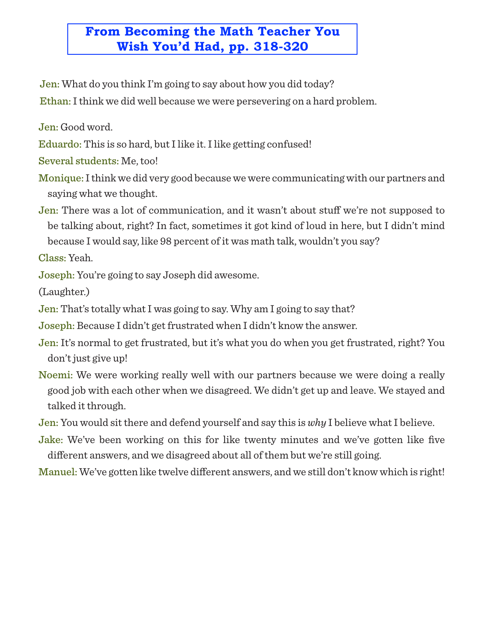## **From Becoming the Math Teacher You | students. After our is the converse we have we have we have we have we have we have we have we have we have we** h

 ${\bf Jen:}$  What do you think I'm going to say about how you did today?

Ethan: I think we did well because we were persevering on a hard problem.

Jen: Good word.

Eduardo: This is so hard, but I like it. I like getting confused!

Several students: Me, too!

- Monique: I think we did very good because we were communicating with our partners and saying what we thought.
- **Jen:** There was a lot of communication, and it wasn't about stuff we're not supposed to be talking about, right? In fact, sometimes it got kind of loud in here, but I didn't mind because I would say, like 98 percent of it was math talk, wouldn't you say?

Class: Yeah.

**Joseph:** You're going to say Joseph did awesome.

(Laughter.)

**Jen:** That's totally what I was going to say. Why am I going to say that?

Joseph: Because I didn't get frustrated when I didn't know the answer.

- Jen: It's normal to get frustrated, but it's what you do when you get frustrated, right? You don't just give up!
- Noemi: We were working really well with our partners because we were doing a really good job with each other when we disagreed. We didn't get up and leave. We stayed and talked it through.
- Jen: You would sit there and defend yourself and say this is *why* I believe what I believe.
- Jake: We've been working on this for like twenty minutes and we've gotten like five diferent answers, and we disagreed about all of them but we're still going.
- Manuel: We've gotten like twelve diferent answers, and we still don't know which is right!